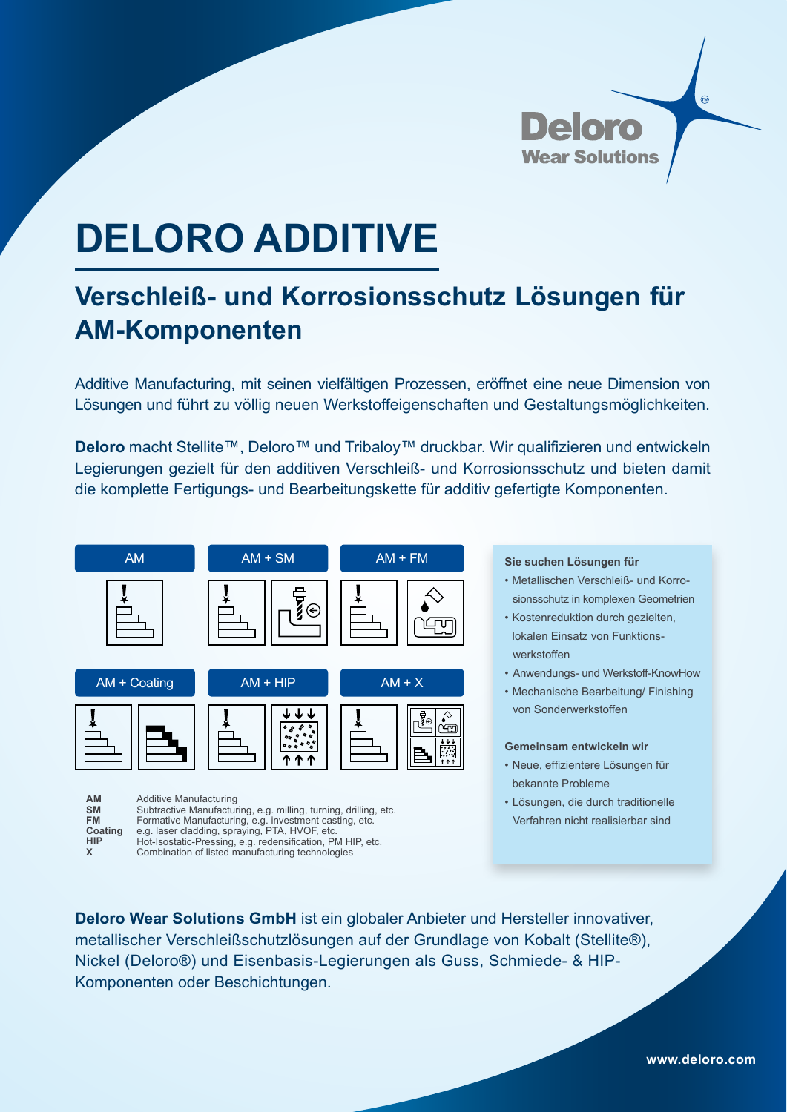

# **DELORO ADDITIVE**

## **Verschleiß- und Korrosionsschutz Lösungen für AM-Komponenten**

Additive Manufacturing, mit seinen vielfältigen Prozessen, eröffnet eine neue Dimension von Lösungen und führt zu völlig neuen Werkstoffeigenschaften und Gestaltungsmöglichkeiten.

**Deloro** macht Stellite™, Deloro™ und Tribaloy™ druckbar. Wir qualifizieren und entwickeln Legierungen gezielt für den additiven Verschleiß- und Korrosionsschutz und bieten damit die komplette Fertigungs- und Bearbeitungskette für additiv gefertigte Komponenten.



Hot-Isostatic-Pressing, e.g. redensification, PM HIP, etc. Combination of listed manufacturing technologies

**HIP X**

### **Sie suchen Lösungen für**

- Metallischen Verschleiß- und Korro sionsschutz in komplexen Geometrien
- Kostenreduktion durch gezielten, lokalen Einsatz von Funktions werkstoffen
- Anwendungs- und Werkstoff-KnowHow
- Mechanische Bearbeitung/ Finishing von Sonderwerkstoffen

#### **Gemeinsam entwickeln wir**

- Neue, effizientere Lösungen für bekannte Probleme
- Lösungen, die durch traditionelle Verfahren nicht realisierbar sind

**Deloro Wear Solutions GmbH** ist ein globaler Anbieter und Hersteller innovativer,

metallischer Verschleißschutzlösungen auf der Grundlage von Kobalt (Stellite®), Nickel (Deloro®) und Eisenbasis-Legierungen als Guss, Schmiede- & HIP-Komponenten oder Beschichtungen.